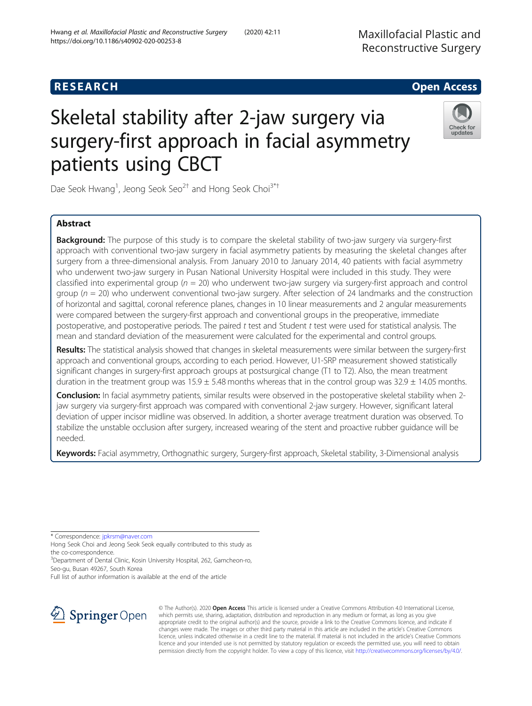# **RESEARCH CHILD CONTROL** CONTROL CONTROL CONTROL CONTROL CONTROL CONTROL CONTROL CONTROL CONTROL CONTROL CONTROL

# Skeletal stability after 2-jaw surgery via surgery-first approach in facial asymmetry patients using CBCT



Dae Seok Hwang<sup>1</sup>, Jeong Seok Seo<sup>2†</sup> and Hong Seok Choi<sup>3\*†</sup>

# Abstract

**Background:** The purpose of this study is to compare the skeletal stability of two-jaw surgery via surgery-first approach with conventional two-jaw surgery in facial asymmetry patients by measuring the skeletal changes after surgery from a three-dimensional analysis. From January 2010 to January 2014, 40 patients with facial asymmetry who underwent two-jaw surgery in Pusan National University Hospital were included in this study. They were classified into experimental group ( $n = 20$ ) who underwent two-jaw surgery via surgery-first approach and control group ( $n = 20$ ) who underwent conventional two-jaw surgery. After selection of 24 landmarks and the construction of horizontal and sagittal, coronal reference planes, changes in 10 linear measurements and 2 angular measurements were compared between the surgery-first approach and conventional groups in the preoperative, immediate postoperative, and postoperative periods. The paired t test and Student t test were used for statistical analysis. The mean and standard deviation of the measurement were calculated for the experimental and control groups.

Results: The statistical analysis showed that changes in skeletal measurements were similar between the surgery-first approach and conventional groups, according to each period. However, U1-SRP measurement showed statistically significant changes in surgery-first approach groups at postsurgical change (T1 to T2). Also, the mean treatment duration in the treatment group was  $15.9 \pm 5.48$  months whereas that in the control group was  $32.9 \pm 14.05$  months.

Conclusion: In facial asymmetry patients, similar results were observed in the postoperative skeletal stability when 2jaw surgery via surgery-first approach was compared with conventional 2-jaw surgery. However, significant lateral deviation of upper incisor midline was observed. In addition, a shorter average treatment duration was observed. To stabilize the unstable occlusion after surgery, increased wearing of the stent and proactive rubber guidance will be needed.

Keywords: Facial asymmetry, Orthognathic surgery, Surgery-first approach, Skeletal stability, 3-Dimensional analysis

\* Correspondence: [jpkrsm@naver.com](mailto:jpkrsm@naver.com)

Hong Seok Choi and Jeong Seok Seok equally contributed to this study as the co-correspondence.

<sup>3</sup>Department of Dental Clinic, Kosin University Hospital, 262, Gamcheon-ro, Seo-gu, Busan 49267, South Korea

Full list of author information is available at the end of the article



© The Author(s). 2020 Open Access This article is licensed under a Creative Commons Attribution 4.0 International License, which permits use, sharing, adaptation, distribution and reproduction in any medium or format, as long as you give appropriate credit to the original author(s) and the source, provide a link to the Creative Commons licence, and indicate if changes were made. The images or other third party material in this article are included in the article's Creative Commons licence, unless indicated otherwise in a credit line to the material. If material is not included in the article's Creative Commons licence and your intended use is not permitted by statutory regulation or exceeds the permitted use, you will need to obtain permission directly from the copyright holder. To view a copy of this licence, visit <http://creativecommons.org/licenses/by/4.0/>.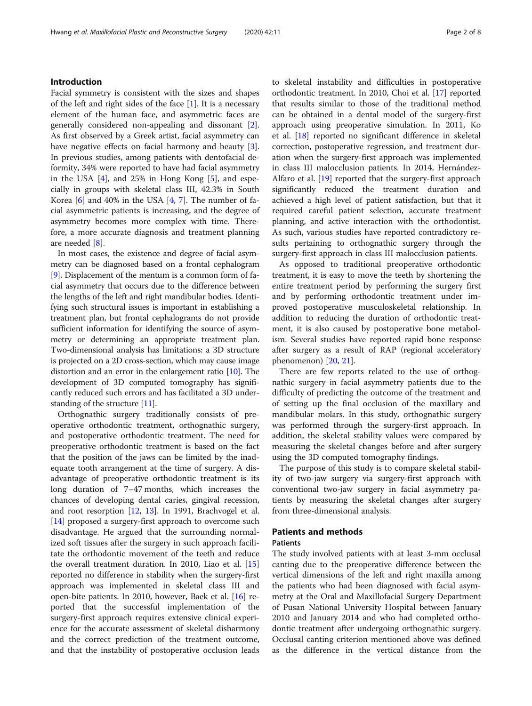### Introduction

Facial symmetry is consistent with the sizes and shapes of the left and right sides of the face [\[1](#page-6-0)]. It is a necessary element of the human face, and asymmetric faces are generally considered non-appealing and dissonant [\[2](#page-6-0)]. As first observed by a Greek artist, facial asymmetry can have negative effects on facial harmony and beauty [\[3](#page-6-0)]. In previous studies, among patients with dentofacial deformity, 34% were reported to have had facial asymmetry in the USA [\[4](#page-7-0)], and 25% in Hong Kong [[5](#page-7-0)], and especially in groups with skeletal class III, 42.3% in South Korea  $[6]$  $[6]$  and 40% in the USA  $[4, 7]$  $[4, 7]$  $[4, 7]$  $[4, 7]$ . The number of facial asymmetric patients is increasing, and the degree of asymmetry becomes more complex with time. Therefore, a more accurate diagnosis and treatment planning are needed [\[8](#page-7-0)].

In most cases, the existence and degree of facial asymmetry can be diagnosed based on a frontal cephalogram [[9\]](#page-7-0). Displacement of the mentum is a common form of facial asymmetry that occurs due to the difference between the lengths of the left and right mandibular bodies. Identifying such structural issues is important in establishing a treatment plan, but frontal cephalograms do not provide sufficient information for identifying the source of asymmetry or determining an appropriate treatment plan. Two-dimensional analysis has limitations: a 3D structure is projected on a 2D cross-section, which may cause image distortion and an error in the enlargement ratio [[10](#page-7-0)]. The development of 3D computed tomography has significantly reduced such errors and has facilitated a 3D under-standing of the structure [[11](#page-7-0)].

Orthognathic surgery traditionally consists of preoperative orthodontic treatment, orthognathic surgery, and postoperative orthodontic treatment. The need for preoperative orthodontic treatment is based on the fact that the position of the jaws can be limited by the inadequate tooth arrangement at the time of surgery. A disadvantage of preoperative orthodontic treatment is its long duration of 7–47 months, which increases the chances of developing dental caries, gingival recession, and root resorption [[12](#page-7-0), [13](#page-7-0)]. In 1991, Brachvogel et al. [[14\]](#page-7-0) proposed a surgery-first approach to overcome such disadvantage. He argued that the surrounding normalized soft tissues after the surgery in such approach facilitate the orthodontic movement of the teeth and reduce the overall treatment duration. In 2010, Liao et al. [[15](#page-7-0)] reported no difference in stability when the surgery-first approach was implemented in skeletal class III and open-bite patients. In 2010, however, Baek et al. [[16](#page-7-0)] reported that the successful implementation of the surgery-first approach requires extensive clinical experience for the accurate assessment of skeletal disharmony and the correct prediction of the treatment outcome, and that the instability of postoperative occlusion leads to skeletal instability and difficulties in postoperative orthodontic treatment. In 2010, Choi et al. [[17](#page-7-0)] reported that results similar to those of the traditional method can be obtained in a dental model of the surgery-first approach using preoperative simulation. In 2011, Ko et al. [\[18](#page-7-0)] reported no significant difference in skeletal correction, postoperative regression, and treatment duration when the surgery-first approach was implemented in class III malocclusion patients. In 2014, Hernández-Alfaro et al. [\[19](#page-7-0)] reported that the surgery-first approach significantly reduced the treatment duration and achieved a high level of patient satisfaction, but that it required careful patient selection, accurate treatment planning, and active interaction with the orthodontist. As such, various studies have reported contradictory results pertaining to orthognathic surgery through the surgery-first approach in class III malocclusion patients.

As opposed to traditional preoperative orthodontic treatment, it is easy to move the teeth by shortening the entire treatment period by performing the surgery first and by performing orthodontic treatment under improved postoperative musculoskeletal relationship. In addition to reducing the duration of orthodontic treatment, it is also caused by postoperative bone metabolism. Several studies have reported rapid bone response after surgery as a result of RAP (regional acceleratory phenomenon) [[20,](#page-7-0) [21\]](#page-7-0).

There are few reports related to the use of orthognathic surgery in facial asymmetry patients due to the difficulty of predicting the outcome of the treatment and of setting up the final occlusion of the maxillary and mandibular molars. In this study, orthognathic surgery was performed through the surgery-first approach. In addition, the skeletal stability values were compared by measuring the skeletal changes before and after surgery using the 3D computed tomography findings.

The purpose of this study is to compare skeletal stability of two-jaw surgery via surgery-first approach with conventional two-jaw surgery in facial asymmetry patients by measuring the skeletal changes after surgery from three-dimensional analysis.

#### Patients and methods Patients

The study involved patients with at least 3-mm occlusal canting due to the preoperative difference between the vertical dimensions of the left and right maxilla among the patients who had been diagnosed with facial asymmetry at the Oral and Maxillofacial Surgery Department of Pusan National University Hospital between January 2010 and January 2014 and who had completed orthodontic treatment after undergoing orthognathic surgery. Occlusal canting criterion mentioned above was defined as the difference in the vertical distance from the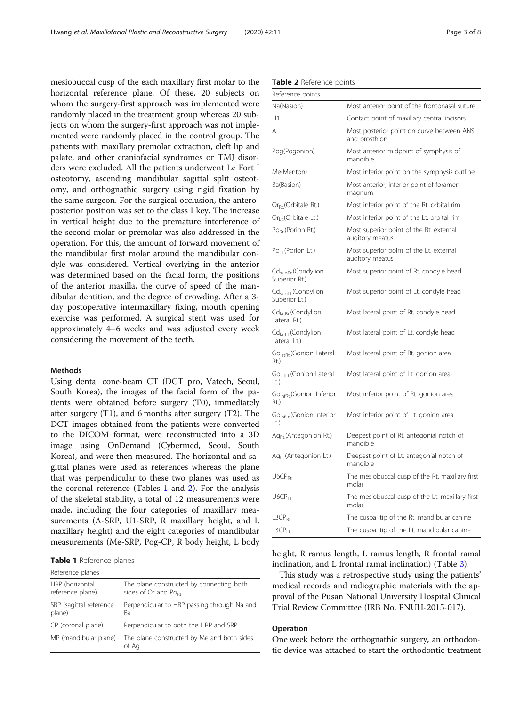mesiobuccal cusp of the each maxillary first molar to the horizontal reference plane. Of these, 20 subjects on whom the surgery-first approach was implemented were randomly placed in the treatment group whereas 20 subjects on whom the surgery-first approach was not implemented were randomly placed in the control group. The patients with maxillary premolar extraction, cleft lip and palate, and other craniofacial syndromes or TMJ disorders were excluded. All the patients underwent Le Fort I osteotomy, ascending mandibular sagittal split osteotomy, and orthognathic surgery using rigid fixation by the same surgeon. For the surgical occlusion, the anteroposterior position was set to the class I key. The increase in vertical height due to the premature interference of the second molar or premolar was also addressed in the operation. For this, the amount of forward movement of the mandibular first molar around the mandibular condyle was considered. Vertical overlying in the anterior was determined based on the facial form, the positions of the anterior maxilla, the curve of speed of the mandibular dentition, and the degree of crowding. After a 3 day postoperative intermaxillary fixing, mouth opening exercise was performed. A surgical stent was used for approximately 4–6 weeks and was adjusted every week considering the movement of the teeth.

#### Methods

Using dental cone-beam CT (DCT pro, Vatech, Seoul, South Korea), the images of the facial form of the patients were obtained before surgery (T0), immediately after surgery (T1), and 6 months after surgery (T2). The DCT images obtained from the patients were converted to the DICOM format, were reconstructed into a 3D image using OnDemand (Cybermed, Seoul, South Korea), and were then measured. The horizontal and sagittal planes were used as references whereas the plane that was perpendicular to these two planes was used as the coronal reference (Tables  $1$  and  $2$ ). For the analysis of the skeletal stability, a total of 12 measurements were made, including the four categories of maxillary measurements (A-SRP, U1-SRP, R maxillary height, and L maxillary height) and the eight categories of mandibular measurements (Me-SRP, Pog-CP, R body height, L body

|  | Table 1 Reference planes |  |
|--|--------------------------|--|
|--|--------------------------|--|

| Reference planes                    |                                                                              |
|-------------------------------------|------------------------------------------------------------------------------|
| HRP (horizontal<br>reference plane) | The plane constructed by connecting both<br>sides of Or and Po <sub>Rt</sub> |
| SRP (sagittal reference<br>plane)   | Perpendicular to HRP passing through Na and<br>Bа                            |
| CP (coronal plane)                  | Perpendicular to both the HRP and SRP                                        |
| MP (mandibular plane)               | The plane constructed by Me and both sides<br>of Aa                          |

|  |  |  | Table 2 Reference points |  |
|--|--|--|--------------------------|--|
|--|--|--|--------------------------|--|

| Reference points                                       |                                                            |
|--------------------------------------------------------|------------------------------------------------------------|
| Na(Nasion)                                             | Most anterior point of the frontonasal suture              |
| U1                                                     | Contact point of maxillary central incisors                |
| Α                                                      | Most posterior point on curve between ANS<br>and prosthion |
| Pog(Pogonion)                                          | Most anterior midpoint of symphysis of<br>mandible         |
| Me(Menton)                                             | Most inferior point on the symphysis outline               |
| Ba(Basion)                                             | Most anterior, inferior point of foramen<br>magnum         |
| Or <sub>Rt</sub> (Orbitale Rt.)                        | Most inferior point of the Rt. orbital rim                 |
| $Or_{1-t}$ (Orbitale Lt.)                              | Most inferior point of the Lt. orbital rim                 |
| $Po_{Rt}$ (Porion Rt.)                                 | Most superior point of the Rt. external<br>auditory meatus |
| $Po_{1t}$ (Porion Lt.)                                 | Most superior point of the Lt. external<br>auditory meatus |
| Cd <sub>supRt.</sub> (Condylion<br>Superior Rt.)       | Most superior point of Rt. condyle head                    |
| Cd <sub>supLt</sub> .(Condylion<br>Superior Lt.)       | Most superior point of Lt. condyle head                    |
| Cd <sub>latRt</sub> (Condylion<br>Lateral Rt.)         | Most lateral point of Rt. condyle head                     |
| Cd <sub>latLt</sub> (Condylion<br>Lateral Lt.)         | Most lateral point of Lt. condyle head                     |
| Go <sub>latRt</sub> (Gonion Lateral<br>Rt.)            | Most lateral point of Rt. gonion area                      |
| Go <sub>latl t</sub> (Gonion Lateral<br>$\lfloor$ t.)  | Most lateral point of Lt. gonion area                      |
| Go <sub>infRt</sub> (Gonion Inferior<br>Rt.)           | Most inferior point of Rt. gonion area                     |
| Go <sub>infl t</sub> (Gonion Inferior<br>$\lfloor$ t.) | Most inferior point of Lt. gonion area                     |
| $Ag_{Rt}$ (Antegonion Rt.)                             | Deepest point of Rt. antegonial notch of<br>mandible       |
| Ag <sub>Lt</sub> (Antegonion Lt.)                      | Deepest point of Lt. antegonial notch of<br>mandible       |
| $UGCP_{Rt}$                                            | The mesiobuccal cusp of the Rt. maxillary first<br>molar   |
| U6CP <sub>Lt</sub>                                     | The mesiobuccal cusp of the Lt. maxillary first<br>molar   |
| L3CP <sub>Rt</sub>                                     | The cuspal tip of the Rt. mandibular canine                |
| L3CP <sub>Lt.</sub>                                    | The cuspal tip of the Lt. mandibular canine                |

height, R ramus length, L ramus length, R frontal ramal inclination, and L frontal ramal inclination) (Table [3\)](#page-3-0).

This study was a retrospective study using the patients' medical records and radiographic materials with the approval of the Pusan National University Hospital Clinical Trial Review Committee (IRB No. PNUH-2015-017).

#### Operation

One week before the orthognathic surgery, an orthodontic device was attached to start the orthodontic treatment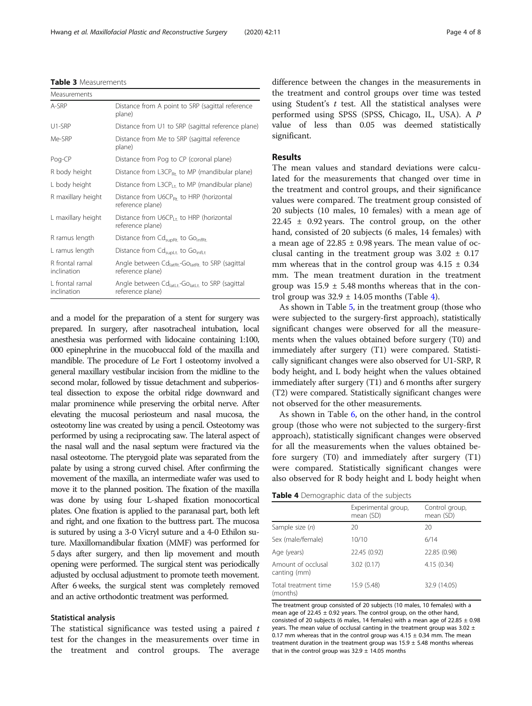and a model for the preparation of a stent for surgery was prepared. In surgery, after nasotracheal intubation, local anesthesia was performed with lidocaine containing 1:100, 000 epinephrine in the mucobuccal fold of the maxilla and mandible. The procedure of Le Fort I osteotomy involved a general maxillary vestibular incision from the midline to the second molar, followed by tissue detachment and subperiosteal dissection to expose the orbital ridge downward and malar prominence while preserving the orbital nerve. After elevating the mucosal periosteum and nasal mucosa, the osteotomy line was created by using a pencil. Osteotomy was performed by using a reciprocating saw. The lateral aspect of the nasal wall and the nasal septum were fractured via the nasal osteotome. The pterygoid plate was separated from the palate by using a strong curved chisel. After confirming the movement of the maxilla, an intermediate wafer was used to move it to the planned position. The fixation of the maxilla was done by using four L-shaped fixation monocortical plates. One fixation is applied to the paranasal part, both left and right, and one fixation to the buttress part. The mucosa is sutured by using a 3-0 Vicryl suture and a 4-0 Ethilon suture. Maxillomandibular fixation (MMF) was performed for 5 days after surgery, and then lip movement and mouth opening were performed. The surgical stent was periodically adjusted by occlusal adjustment to promote teeth movement. After 6 weeks, the surgical stent was completely removed and an active orthodontic treatment was performed.

#### Statistical analysis

The statistical significance was tested using a paired  $t$ test for the changes in the measurements over time in the treatment and control groups. The average difference between the changes in the measurements in the treatment and control groups over time was tested using Student's  $t$  test. All the statistical analyses were performed using SPSS (SPSS, Chicago, IL, USA). A P value of less than 0.05 was deemed statistically significant.

### Results

The mean values and standard deviations were calculated for the measurements that changed over time in the treatment and control groups, and their significance values were compared. The treatment group consisted of 20 subjects (10 males, 10 females) with a mean age of  $22.45 \pm 0.92$  years. The control group, on the other hand, consisted of 20 subjects (6 males, 14 females) with a mean age of  $22.85 \pm 0.98$  years. The mean value of occlusal canting in the treatment group was  $3.02 \pm 0.17$ mm whereas that in the control group was  $4.15 \pm 0.34$ mm. The mean treatment duration in the treatment group was  $15.9 \pm 5.48$  months whereas that in the control group was  $32.9 \pm 14.05$  months (Table 4).

As shown in Table [5](#page-4-0), in the treatment group (those who were subjected to the surgery-first approach), statistically significant changes were observed for all the measurements when the values obtained before surgery (T0) and immediately after surgery (T1) were compared. Statistically significant changes were also observed for U1-SRP, R body height, and L body height when the values obtained immediately after surgery (T1) and 6 months after surgery (T2) were compared. Statistically significant changes were not observed for the other measurements.

As shown in Table [6,](#page-4-0) on the other hand, in the control group (those who were not subjected to the surgery-first approach), statistically significant changes were observed for all the measurements when the values obtained before surgery (T0) and immediately after surgery (T1) were compared. Statistically significant changes were also observed for R body height and L body height when

Table 4 Demographic data of the subjects

| Experimental group,<br>mean (SD) | Control group,<br>mean (SD) |
|----------------------------------|-----------------------------|
| 20                               | 20                          |
| 10/10                            | 6/14                        |
| 22.45 (0.92)                     | 22.85 (0.98)                |
| 3.02(0.17)                       | 4.15(0.34)                  |
| 15.9 (5.48)                      | 32.9 (14.05)                |
|                                  |                             |

The treatment group consisted of 20 subjects (10 males, 10 females) with a mean age of 22.45  $\pm$  0.92 years. The control group, on the other hand, consisted of 20 subjects (6 males, 14 females) with a mean age of  $22.85 \pm 0.98$ years. The mean value of occlusal canting in the treatment group was 3.02  $\pm$ 0.17 mm whereas that in the control group was  $4.15 \pm 0.34$  mm. The mean treatment duration in the treatment group was  $15.9 \pm 5.48$  months whereas that in the control group was  $32.9 \pm 14.05$  months

<span id="page-3-0"></span>Table 3 Measurements

| Measurements                   |                                                                                                |
|--------------------------------|------------------------------------------------------------------------------------------------|
| A-SRP                          | Distance from A point to SRP (sagittal reference<br>plane)                                     |
| $U1-SRP$                       | Distance from U1 to SRP (sagittal reference plane)                                             |
| Me-SRP                         | Distance from Me to SRP (sagittal reference<br>plane)                                          |
| Pog-CP                         | Distance from Pog to CP (coronal plane)                                                        |
| R body height                  | Distance from L3CP $_{\rm{Rt}}$ to MP (mandibular plane)                                       |
| L body height                  | Distance from $L3CP_{1+}$ to MP (mandibular plane)                                             |
| R maxillary height             | Distance from $\bigcup_{k \in \mathbb{N}} G_{R_{\tau}}$ to HRP (horizontal<br>reference plane) |
| L maxillary height             | Distance from $\bigcup_{i=1}^{n}$ to HRP (horizontal<br>reference plane)                       |
| R ramus length                 | Distance from Cd <sub>supRt.</sub> to Go <sub>infRt.</sub>                                     |
| L ramus length                 | Distance from Cd <sub>supLt.</sub> to Go <sub>infLt</sub>                                      |
| R frontal ramal<br>inclination | Angle between $Cdlarkr - Golarkr$ to SRP (sagittal<br>reference plane)                         |
| 1 frontal ramal<br>inclination | Angle between $Cdlatt t - Golatt t$ to SRP (sagittal<br>reference plane)                       |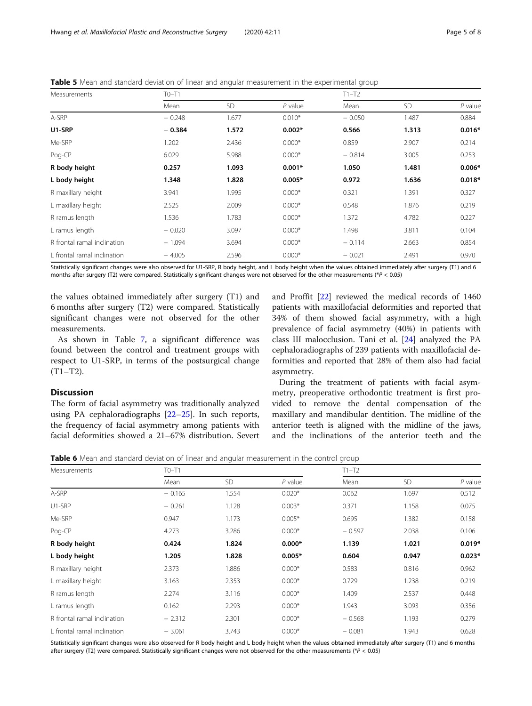<span id="page-4-0"></span>Table 5 Mean and standard deviation of linear and angular measurement in the experimental group

| Measurements                | $TO-T1$  |           |           | $T1-T2$  |           |           |
|-----------------------------|----------|-----------|-----------|----------|-----------|-----------|
|                             | Mean     | <b>SD</b> | $P$ value | Mean     | <b>SD</b> | $P$ value |
| A-SRP                       | $-0.248$ | 1.677     | $0.010*$  | $-0.050$ | 1.487     | 0.884     |
| U1-SRP                      | $-0.384$ | 1.572     | $0.002*$  | 0.566    | 1.313     | $0.016*$  |
| Me-SRP                      | 1.202    | 2.436     | $0.000*$  | 0.859    | 2.907     | 0.214     |
| Pog-CP                      | 6.029    | 5.988     | $0.000*$  | $-0.814$ | 3.005     | 0.253     |
| R body height               | 0.257    | 1.093     | $0.001*$  | 1.050    | 1.481     | $0.006*$  |
| L body height               | 1.348    | 1.828     | $0.005*$  | 0.972    | 1.636     | $0.018*$  |
| R maxillary height          | 3.941    | 1.995     | $0.000*$  | 0.321    | 1.391     | 0.327     |
| L maxillary height          | 2.525    | 2.009     | $0.000*$  | 0.548    | 1.876     | 0.219     |
| R ramus length              | 1.536    | 1.783     | $0.000*$  | 1.372    | 4.782     | 0.227     |
| L ramus length              | $-0.020$ | 3.097     | $0.000*$  | 1.498    | 3.811     | 0.104     |
| R frontal ramal inclination | $-1.094$ | 3.694     | $0.000*$  | $-0.114$ | 2.663     | 0.854     |
| L frontal ramal inclination | $-4.005$ | 2.596     | $0.000*$  | $-0.021$ | 2.491     | 0.970     |

Statistically significant changes were also observed for U1-SRP, R body height, and L body height when the values obtained immediately after surgery (T1) and 6 months after surgery (T2) were compared. Statistically significant changes were not observed for the other measurements (\* $P < 0.05$ )

the values obtained immediately after surgery (T1) and 6 months after surgery (T2) were compared. Statistically significant changes were not observed for the other measurements.

As shown in Table [7](#page-5-0), a significant difference was found between the control and treatment groups with respect to U1-SRP, in terms of the postsurgical change  $(T1-T2)$ .

# and Proffit [\[22](#page-7-0)] reviewed the medical records of 1460 patients with maxillofacial deformities and reported that 34% of them showed facial asymmetry, with a high prevalence of facial asymmetry (40%) in patients with class III malocclusion. Tani et al. [[24\]](#page-7-0) analyzed the PA cephaloradiographs of 239 patients with maxillofacial deformities and reported that 28% of them also had facial asymmetry.

#### **Discussion**

The form of facial asymmetry was traditionally analyzed using PA cephaloradiographs [\[22](#page-7-0)–[25\]](#page-7-0). In such reports, the frequency of facial asymmetry among patients with facial deformities showed a 21–67% distribution. Severt

During the treatment of patients with facial asymmetry, preoperative orthodontic treatment is first provided to remove the dental compensation of the maxillary and mandibular dentition. The midline of the anterior teeth is aligned with the midline of the jaws, and the inclinations of the anterior teeth and the

Table 6 Mean and standard deviation of linear and angular measurement in the control group

| Measurements                | $TO-T1$  |           |           | $T1-T2$  |           |           |
|-----------------------------|----------|-----------|-----------|----------|-----------|-----------|
|                             | Mean     | <b>SD</b> | $P$ value | Mean     | <b>SD</b> | $P$ value |
| A-SRP                       | $-0.165$ | 1.554     | $0.020*$  | 0.062    | 1.697     | 0.512     |
| U1-SRP                      | $-0.261$ | 1.128     | $0.003*$  | 0.371    | 1.158     | 0.075     |
| Me-SRP                      | 0.947    | 1.173     | $0.005*$  | 0.695    | 1.382     | 0.158     |
| Pog-CP                      | 4.273    | 3.286     | $0.000*$  | $-0.597$ | 2.038     | 0.106     |
| R body height               | 0.424    | 1.824     | $0.000*$  | 1.139    | 1.021     | $0.019*$  |
| L body height               | 1.205    | 1.828     | $0.005*$  | 0.604    | 0.947     | $0.023*$  |
| R maxillary height          | 2.373    | 1.886     | $0.000*$  | 0.583    | 0.816     | 0.962     |
| L maxillary height          | 3.163    | 2.353     | $0.000*$  | 0.729    | 1.238     | 0.219     |
| R ramus length              | 2.274    | 3.116     | $0.000*$  | 1.409    | 2.537     | 0.448     |
| L ramus length              | 0.162    | 2.293     | $0.000*$  | 1.943    | 3.093     | 0.356     |
| R frontal ramal inclination | $-2.312$ | 2.301     | $0.000*$  | $-0.568$ | 1.193     | 0.279     |
| L frontal ramal inclination | $-3.061$ | 3.743     | $0.000*$  | $-0.081$ | 1.943     | 0.628     |

Statistically significant changes were also observed for R body height and L body height when the values obtained immediately after surgery (T1) and 6 months after surgery (T2) were compared. Statistically significant changes were not observed for the other measurements (\*P < 0.05)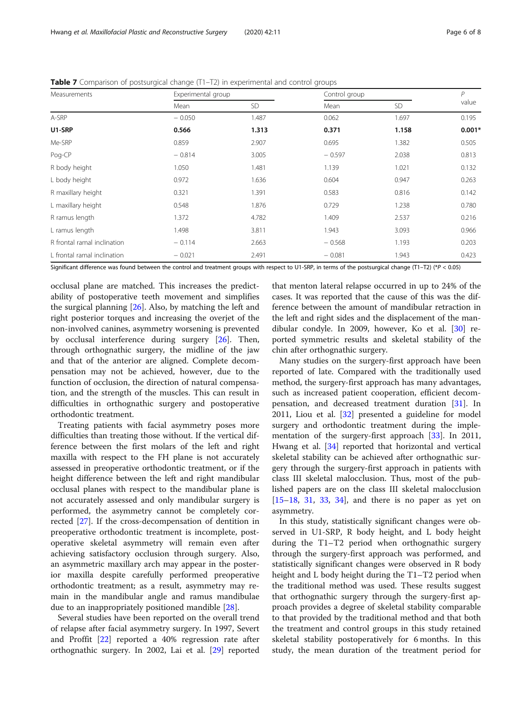| Measurements                | Experimental group |           | Control group |           | $\mathsf{P}$ |
|-----------------------------|--------------------|-----------|---------------|-----------|--------------|
|                             | Mean               | <b>SD</b> | Mean          | <b>SD</b> | value        |
| A-SRP                       | $-0.050$           | 1.487     | 0.062         | 1.697     | 0.195        |
| U1-SRP                      | 0.566              | 1.313     | 0.371         | 1.158     | $0.001*$     |
| Me-SRP                      | 0.859              | 2.907     | 0.695         | 1.382     | 0.505        |
| Pog-CP                      | $-0.814$           | 3.005     | $-0.597$      | 2.038     | 0.813        |
| R body height               | 1.050              | 1.481     | 1.139         | 1.021     | 0.132        |
| L body height               | 0.972              | 1.636     | 0.604         | 0.947     | 0.263        |
| R maxillary height          | 0.321              | 1.391     | 0.583         | 0.816     | 0.142        |
| L maxillary height          | 0.548              | 1.876     | 0.729         | 1.238     | 0.780        |
| R ramus length              | 1.372              | 4.782     | 1.409         | 2.537     | 0.216        |
| L ramus length              | 1.498              | 3.811     | 1.943         | 3.093     | 0.966        |
| R frontal ramal inclination | $-0.114$           | 2.663     | $-0.568$      | 1.193     | 0.203        |
| L frontal ramal inclination | $-0.021$           | 2.491     | $-0.081$      | 1.943     | 0.423        |

<span id="page-5-0"></span>Table 7 Comparison of postsurgical change (T1-T2) in experimental and control groups

Significant difference was found between the control and treatment groups with respect to U1-SRP, in terms of the postsurgical change (T1–T2) (\*P < 0.05)

occlusal plane are matched. This increases the predictability of postoperative teeth movement and simplifies the surgical planning [[26](#page-7-0)]. Also, by matching the left and right posterior torques and increasing the overjet of the non-involved canines, asymmetry worsening is prevented by occlusal interference during surgery [\[26](#page-7-0)]. Then, through orthognathic surgery, the midline of the jaw and that of the anterior are aligned. Complete decompensation may not be achieved, however, due to the function of occlusion, the direction of natural compensation, and the strength of the muscles. This can result in difficulties in orthognathic surgery and postoperative orthodontic treatment.

Treating patients with facial asymmetry poses more difficulties than treating those without. If the vertical difference between the first molars of the left and right maxilla with respect to the FH plane is not accurately assessed in preoperative orthodontic treatment, or if the height difference between the left and right mandibular occlusal planes with respect to the mandibular plane is not accurately assessed and only mandibular surgery is performed, the asymmetry cannot be completely corrected [[27\]](#page-7-0). If the cross-decompensation of dentition in preoperative orthodontic treatment is incomplete, postoperative skeletal asymmetry will remain even after achieving satisfactory occlusion through surgery. Also, an asymmetric maxillary arch may appear in the posterior maxilla despite carefully performed preoperative orthodontic treatment; as a result, asymmetry may remain in the mandibular angle and ramus mandibulae due to an inappropriately positioned mandible [[28\]](#page-7-0).

Several studies have been reported on the overall trend of relapse after facial asymmetry surgery. In 1997, Severt and Proffit [[22\]](#page-7-0) reported a 40% regression rate after orthognathic surgery. In 2002, Lai et al. [[29\]](#page-7-0) reported

that menton lateral relapse occurred in up to 24% of the cases. It was reported that the cause of this was the difference between the amount of mandibular retraction in the left and right sides and the displacement of the mandibular condyle. In 2009, however, Ko et al. [[30](#page-7-0)] reported symmetric results and skeletal stability of the chin after orthognathic surgery.

Many studies on the surgery-first approach have been reported of late. Compared with the traditionally used method, the surgery-first approach has many advantages, such as increased patient cooperation, efficient decom-pensation, and decreased treatment duration [[31\]](#page-7-0). In 2011, Liou et al. [[32\]](#page-7-0) presented a guideline for model surgery and orthodontic treatment during the imple-mentation of the surgery-first approach [[33\]](#page-7-0). In 2011, Hwang et al. [[34](#page-7-0)] reported that horizontal and vertical skeletal stability can be achieved after orthognathic surgery through the surgery-first approach in patients with class III skeletal malocclusion. Thus, most of the published papers are on the class III skeletal malocclusion  $[15–18, 31, 33, 34]$  $[15–18, 31, 33, 34]$  $[15–18, 31, 33, 34]$  $[15–18, 31, 33, 34]$  $[15–18, 31, 33, 34]$  $[15–18, 31, 33, 34]$  $[15–18, 31, 33, 34]$  $[15–18, 31, 33, 34]$  $[15–18, 31, 33, 34]$  $[15–18, 31, 33, 34]$  $[15–18, 31, 33, 34]$ , and there is no paper as yet on asymmetry.

In this study, statistically significant changes were observed in U1-SRP, R body height, and L body height during the T1–T2 period when orthognathic surgery through the surgery-first approach was performed, and statistically significant changes were observed in R body height and L body height during the T1–T2 period when the traditional method was used. These results suggest that orthognathic surgery through the surgery-first approach provides a degree of skeletal stability comparable to that provided by the traditional method and that both the treatment and control groups in this study retained skeletal stability postoperatively for 6 months. In this study, the mean duration of the treatment period for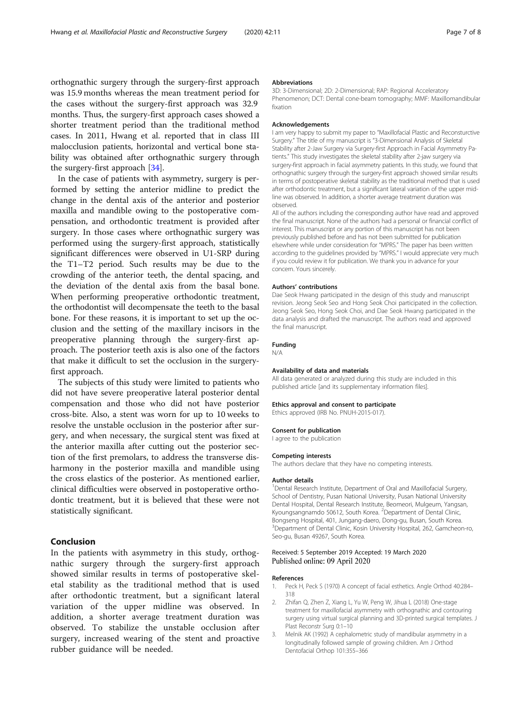<span id="page-6-0"></span>orthognathic surgery through the surgery-first approach was 15.9 months whereas the mean treatment period for the cases without the surgery-first approach was 32.9 months. Thus, the surgery-first approach cases showed a shorter treatment period than the traditional method cases. In 2011, Hwang et al. reported that in class III malocclusion patients, horizontal and vertical bone stability was obtained after orthognathic surgery through the surgery-first approach [[34\]](#page-7-0).

In the case of patients with asymmetry, surgery is performed by setting the anterior midline to predict the change in the dental axis of the anterior and posterior maxilla and mandible owing to the postoperative compensation, and orthodontic treatment is provided after surgery. In those cases where orthognathic surgery was performed using the surgery-first approach, statistically significant differences were observed in U1-SRP during the T1–T2 period. Such results may be due to the crowding of the anterior teeth, the dental spacing, and the deviation of the dental axis from the basal bone. When performing preoperative orthodontic treatment, the orthodontist will decompensate the teeth to the basal bone. For these reasons, it is important to set up the occlusion and the setting of the maxillary incisors in the preoperative planning through the surgery-first approach. The posterior teeth axis is also one of the factors that make it difficult to set the occlusion in the surgeryfirst approach.

The subjects of this study were limited to patients who did not have severe preoperative lateral posterior dental compensation and those who did not have posterior cross-bite. Also, a stent was worn for up to 10 weeks to resolve the unstable occlusion in the posterior after surgery, and when necessary, the surgical stent was fixed at the anterior maxilla after cutting out the posterior section of the first premolars, to address the transverse disharmony in the posterior maxilla and mandible using the cross elastics of the posterior. As mentioned earlier, clinical difficulties were observed in postoperative orthodontic treatment, but it is believed that these were not statistically significant.

#### Conclusion

In the patients with asymmetry in this study, orthognathic surgery through the surgery-first approach showed similar results in terms of postoperative skeletal stability as the traditional method that is used after orthodontic treatment, but a significant lateral variation of the upper midline was observed. In addition, a shorter average treatment duration was observed. To stabilize the unstable occlusion after surgery, increased wearing of the stent and proactive rubber guidance will be needed.

#### Abbreviations

3D: 3-Dimensional; 2D: 2-Dimensional; RAP: Regional Acceleratory Phenomenon; DCT: Dental cone-beam tomography; MMF: Maxillomandibular fixation

#### Acknowledgements

I am very happy to submit my paper to "Maxillofacial Plastic and Reconsturctive Surgery." The title of my manuscript is "3-Dimensional Analysis of Skeletal Stability after 2-Jaw Surgery via Surgery-first Approach in Facial Asymmetry Patients." This study investigates the skeletal stability after 2-jaw surgery via surgery-first approach in facial asymmetry patients. In this study, we found that orthognathic surgery through the surgery-first approach showed similar results in terms of postoperative skeletal stability as the traditional method that is used after orthodontic treatment, but a significant lateral variation of the upper midline was observed. In addition, a shorter average treatment duration was observed.

All of the authors including the corresponding author have read and approved the final manuscript. None of the authors had a personal or financial conflict of interest. This manuscript or any portion of this manuscript has not been previously published before and has not been submitted for publication elsewhere while under consideration for "MPRS." The paper has been written according to the guidelines provided by "MPRS." I would appreciate very much if you could review it for publication. We thank you in advance for your concern. Yours sincerely.

#### Authors' contributions

Dae Seok Hwang participated in the design of this study and manuscript revision. Jeong Seok Seo and Hong Seok Choi participated in the collection. Jeong Seok Seo, Hong Seok Choi, and Dae Seok Hwang participated in the data analysis and drafted the manuscript. The authors read and approved the final manuscript.

#### Funding N/A

#### Availability of data and materials

All data generated or analyzed during this study are included in this published article [and its supplementary information files].

#### Ethics approval and consent to participate

Ethics approved (IRB No. PNUH-2015-017).

#### Consent for publication

I agree to the publication

#### Competing interests

The authors declare that they have no competing interests.

#### Author details

<sup>1</sup> Dental Research Institute, Department of Oral and Maxillofacial Surgery, School of Dentistry, Pusan National University, Pusan National University Dental Hospital, Dental Research Institute, Beomeori, Mulgeum, Yangsan, Kyoungsangnamdo 50612, South Korea. <sup>2</sup>Department of Dental Clinic Bongseng Hospital, 401, Jungang-daero, Dong-gu, Busan, South Korea. <sup>3</sup> Department of Dental Clinic, Kosin University Hospital, 262, Gamcheon-ro Seo-gu, Busan 49267, South Korea.

#### Received: 5 September 2019 Accepted: 19 March 2020 Published online: 09 April 2020

#### References

- 1. Peck H, Peck S (1970) A concept of facial esthetics. Angle Orthod 40:284– 318
- 2. Zhifan Q, Zhen Z, Xiang L, Yu W, Peng W, Jihua L (2018) One-stage treatment for maxillofacial asymmetry with orthognathic and contouring surgery using virtual surgical planning and 3D-printed surgical templates. J Plast Reconstr Surg 0:1–10
- 3. Melnik AK (1992) A cephalometric study of mandibular asymmetry in a longitudinally followed sample of growing children. Am J Orthod Dentofacial Orthop 101:355–366